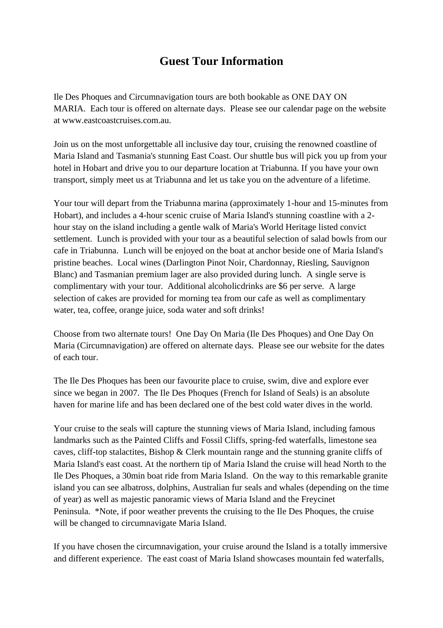# **Guest Tour Information**

Ile Des Phoques and Circumnavigation tours are both bookable as ONE DAY ON MARIA. Each tour is offered on alternate days. Please see our calendar page on the website at www.eastcoastcruises.com.au.

Join us on the most unforgettable all inclusive day tour, cruising the renowned coastline of Maria Island and Tasmania's stunning East Coast. Our shuttle bus will pick you up from your hotel in Hobart and drive you to our departure location at Triabunna. If you have your own transport, simply meet us at Triabunna and let us take you on the adventure of a lifetime.

Your tour will depart from the Triabunna marina (approximately 1-hour and 15-minutes from Hobart), and includes a 4-hour scenic cruise of Maria Island's stunning coastline with a 2 hour stay on the island including a gentle walk of Maria's World Heritage listed convict settlement. Lunch is provided with your tour as a beautiful selection of salad bowls from our cafe in Triabunna. Lunch will be enjoyed on the boat at anchor beside one of Maria Island's pristine beaches. Local wines (Darlington Pinot Noir, Chardonnay, Riesling, Sauvignon Blanc) and Tasmanian premium lager are also provided during lunch. A single serve is complimentary with your tour. Additional alcoholicdrinks are \$6 per serve. A large selection of cakes are provided for morning tea from our cafe as well as complimentary water, tea, coffee, orange juice, soda water and soft drinks!

Choose from two alternate tours! One Day On Maria (Ile Des Phoques) and One Day On Maria (Circumnavigation) are offered on alternate days. Please see our website for the dates of each tour.

The Ile Des Phoques has been our favourite place to cruise, swim, dive and explore ever since we began in 2007. The Ile Des Phoques (French for Island of Seals) is an absolute haven for marine life and has been declared one of the best cold water dives in the world.

Your cruise to the seals will capture the stunning views of Maria Island, including famous landmarks such as the Painted Cliffs and Fossil Cliffs, spring-fed waterfalls, limestone sea caves, cliff-top stalactites, Bishop & Clerk mountain range and the stunning granite cliffs of Maria Island's east coast. At the northern tip of Maria Island the cruise will head North to the Ile Des Phoques, a 30min boat ride from Maria Island. On the way to this remarkable granite island you can see albatross, dolphins, Australian fur seals and whales (depending on the time of year) as well as majestic panoramic views of Maria Island and the Freycinet Peninsula. \*Note, if poor weather prevents the cruising to the Ile Des Phoques, the cruise will be changed to circumnavigate Maria Island.

If you have chosen the circumnavigation, your cruise around the Island is a totally immersive and different experience. The east coast of Maria Island showcases mountain fed waterfalls,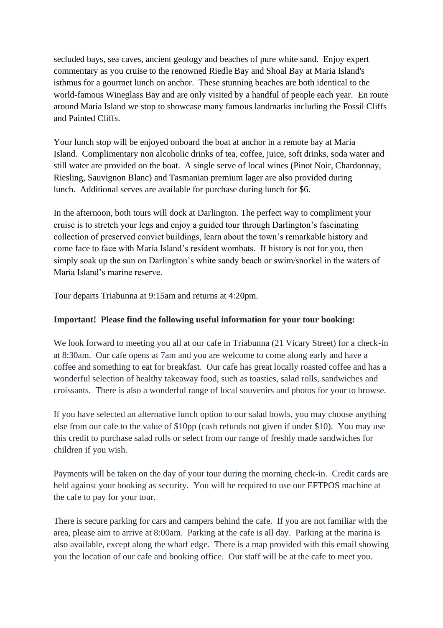secluded bays, sea caves, ancient geology and beaches of pure white sand. Enjoy expert commentary as you cruise to the renowned Riedle Bay and Shoal Bay at Maria Island's isthmus for a gourmet lunch on anchor. These stunning beaches are both identical to the world-famous Wineglass Bay and are only visited by a handful of people each year. En route around Maria Island we stop to showcase many famous landmarks including the Fossil Cliffs and Painted Cliffs.

Your lunch stop will be enjoyed onboard the boat at anchor in a remote bay at Maria Island. Complimentary non alcoholic drinks of tea, coffee, juice, soft drinks, soda water and still water are provided on the boat. A single serve of local wines (Pinot Noir, Chardonnay, Riesling, Sauvignon Blanc) and Tasmanian premium lager are also provided during lunch. Additional serves are available for purchase during lunch for \$6.

In the afternoon, both tours will dock at Darlington. The perfect way to compliment your cruise is to stretch your legs and enjoy a guided tour through Darlington's fascinating collection of preserved convict buildings, learn about the town's remarkable history and come face to face with Maria Island's resident wombats. If history is not for you, then simply soak up the sun on Darlington's white sandy beach or swim/snorkel in the waters of Maria Island's marine reserve.

Tour departs Triabunna at 9:15am and returns at 4:20pm.

# **Important! Please find the following useful information for your tour booking:**

We look forward to meeting you all at our cafe in Triabunna (21 Vicary Street) for a check-in at 8:30am. Our cafe opens at 7am and you are welcome to come along early and have a coffee and something to eat for breakfast. Our cafe has great locally roasted coffee and has a wonderful selection of healthy takeaway food, such as toasties, salad rolls, sandwiches and croissants. There is also a wonderful range of local souvenirs and photos for your to browse.

If you have selected an alternative lunch option to our salad bowls, you may choose anything else from our cafe to the value of \$10pp (cash refunds not given if under \$10). You may use this credit to purchase salad rolls or select from our range of freshly made sandwiches for children if you wish.

Payments will be taken on the day of your tour during the morning check-in. Credit cards are held against your booking as security. You will be required to use our EFTPOS machine at the cafe to pay for your tour.

There is secure parking for cars and campers behind the cafe. If you are not familiar with the area, please aim to arrive at 8:00am. Parking at the cafe is all day. Parking at the marina is also available, except along the wharf edge. There is a map provided with this email showing you the location of our cafe and booking office. Our staff will be at the cafe to meet you.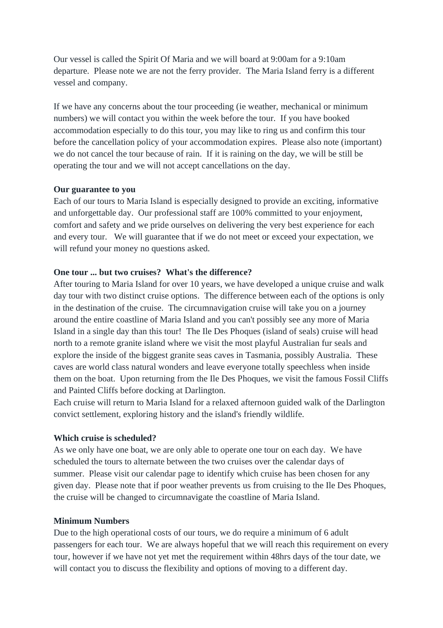Our vessel is called the Spirit Of Maria and we will board at 9:00am for a 9:10am departure. Please note we are not the ferry provider. The Maria Island ferry is a different vessel and company.

If we have any concerns about the tour proceeding (ie weather, mechanical or minimum numbers) we will contact you within the week before the tour. If you have booked accommodation especially to do this tour, you may like to ring us and confirm this tour before the cancellation policy of your accommodation expires. Please also note (important) we do not cancel the tour because of rain. If it is raining on the day, we will be still be operating the tour and we will not accept cancellations on the day.

#### **Our guarantee to you**

Each of our tours to Maria Island is especially designed to provide an exciting, informative and unforgettable day. Our professional staff are 100% committed to your enjoyment, comfort and safety and we pride ourselves on delivering the very best experience for each and every tour. We will guarantee that if we do not meet or exceed your expectation, we will refund your money no questions asked.

# **One tour ... but two cruises? What's the difference?**

After touring to Maria Island for over 10 years, we have developed a unique cruise and walk day tour with two distinct cruise options. The difference between each of the options is only in the destination of the cruise. The circumnavigation cruise will take you on a journey around the entire coastline of Maria Island and you can't possibly see any more of Maria Island in a single day than this tour! The Ile Des Phoques (island of seals) cruise will head north to a remote granite island where we visit the most playful Australian fur seals and explore the inside of the biggest granite seas caves in Tasmania, possibly Australia. These caves are world class natural wonders and leave everyone totally speechless when inside them on the boat. Upon returning from the Ile Des Phoques, we visit the famous Fossil Cliffs and Painted Cliffs before docking at Darlington.

Each cruise will return to Maria Island for a relaxed afternoon guided walk of the Darlington convict settlement, exploring history and the island's friendly wildlife.

# **Which cruise is scheduled?**

As we only have one boat, we are only able to operate one tour on each day. We have scheduled the tours to alternate between the two cruises over the calendar days of summer. Please visit our calendar page to identify which cruise has been chosen for any given day. Please note that if poor weather prevents us from cruising to the Ile Des Phoques, the cruise will be changed to circumnavigate the coastline of Maria Island.

# **Minimum Numbers**

Due to the high operational costs of our tours, we do require a minimum of 6 adult passengers for each tour. We are always hopeful that we will reach this requirement on every tour, however if we have not yet met the requirement within 48hrs days of the tour date, we will contact you to discuss the flexibility and options of moving to a different day.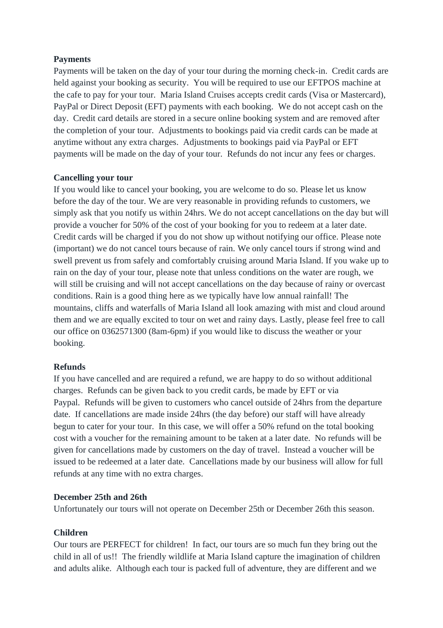# **Payments**

Payments will be taken on the day of your tour during the morning check-in. Credit cards are held against your booking as security. You will be required to use our EFTPOS machine at the cafe to pay for your tour. Maria Island Cruises accepts credit cards (Visa or Mastercard), PayPal or Direct Deposit (EFT) payments with each booking. We do not accept cash on the day. Credit card details are stored in a secure online booking system and are removed after the completion of your tour. Adjustments to bookings paid via credit cards can be made at anytime without any extra charges. Adjustments to bookings paid via PayPal or EFT payments will be made on the day of your tour. Refunds do not incur any fees or charges.

# **Cancelling your tour**

If you would like to cancel your booking, you are welcome to do so. Please let us know before the day of the tour. We are very reasonable in providing refunds to customers, we simply ask that you notify us within 24hrs. We do not accept cancellations on the day but will provide a voucher for 50% of the cost of your booking for you to redeem at a later date. Credit cards will be charged if you do not show up without notifying our office. Please note (important) we do not cancel tours because of rain. We only cancel tours if strong wind and swell prevent us from safely and comfortably cruising around Maria Island. If you wake up to rain on the day of your tour, please note that unless conditions on the water are rough, we will still be cruising and will not accept cancellations on the day because of rainy or overcast conditions. Rain is a good thing here as we typically have low annual rainfall! The mountains, cliffs and waterfalls of Maria Island all look amazing with mist and cloud around them and we are equally excited to tour on wet and rainy days. Lastly, please feel free to call our office on 0362571300 (8am-6pm) if you would like to discuss the weather or your booking.

# **Refunds**

If you have cancelled and are required a refund, we are happy to do so without additional charges. Refunds can be given back to you credit cards, be made by EFT or via Paypal. Refunds will be given to customers who cancel outside of 24hrs from the departure date. If cancellations are made inside 24hrs (the day before) our staff will have already begun to cater for your tour. In this case, we will offer a 50% refund on the total booking cost with a voucher for the remaining amount to be taken at a later date. No refunds will be given for cancellations made by customers on the day of travel. Instead a voucher will be issued to be redeemed at a later date. Cancellations made by our business will allow for full refunds at any time with no extra charges.

# **December 25th and 26th**

Unfortunately our tours will not operate on December 25th or December 26th this season.

# **Children**

Our tours are PERFECT for children! In fact, our tours are so much fun they bring out the child in all of us!! The friendly wildlife at Maria Island capture the imagination of children and adults alike. Although each tour is packed full of adventure, they are different and we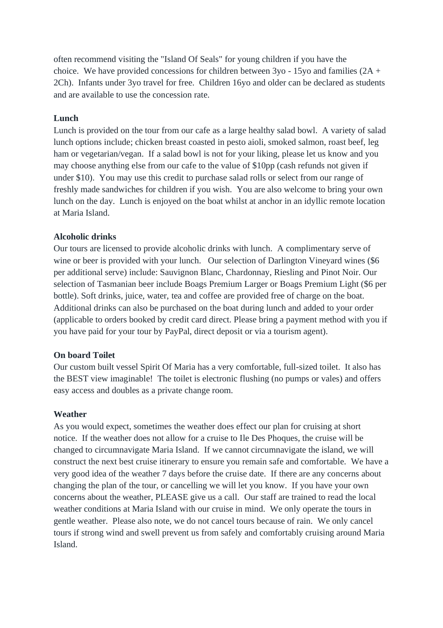often recommend visiting the "Island Of Seals" for young children if you have the choice. We have provided concessions for children between 3yo - 15yo and families (2A + 2Ch). Infants under 3yo travel for free. Children 16yo and older can be declared as students and are available to use the concession rate.

#### **Lunch**

Lunch is provided on the tour from our cafe as a large healthy salad bowl. A variety of salad lunch options include; chicken breast coasted in pesto aioli, smoked salmon, roast beef, leg ham or vegetarian/vegan. If a salad bowl is not for your liking, please let us know and you may choose anything else from our cafe to the value of \$10pp (cash refunds not given if under \$10). You may use this credit to purchase salad rolls or select from our range of freshly made sandwiches for children if you wish. You are also welcome to bring your own lunch on the day. Lunch is enjoyed on the boat whilst at anchor in an idyllic remote location at Maria Island.

#### **Alcoholic drinks**

Our tours are licensed to provide alcoholic drinks with lunch. A complimentary serve of wine or beer is provided with your lunch. Our selection of Darlington Vineyard wines (\$6 per additional serve) include: Sauvignon Blanc, Chardonnay, Riesling and Pinot Noir. Our selection of Tasmanian beer include Boags Premium Larger or Boags Premium Light (\$6 per bottle). Soft drinks, juice, water, tea and coffee are provided free of charge on the boat. Additional drinks can also be purchased on the boat during lunch and added to your order (applicable to orders booked by credit card direct. Please bring a payment method with you if you have paid for your tour by PayPal, direct deposit or via a tourism agent).

#### **On board Toilet**

Our custom built vessel Spirit Of Maria has a very comfortable, full-sized toilet. It also has the BEST view imaginable! The toilet is electronic flushing (no pumps or vales) and offers easy access and doubles as a private change room.

#### **Weather**

As you would expect, sometimes the weather does effect our plan for cruising at short notice. If the weather does not allow for a cruise to Ile Des Phoques, the cruise will be changed to circumnavigate Maria Island. If we cannot circumnavigate the island, we will construct the next best cruise itinerary to ensure you remain safe and comfortable. We have a very good idea of the weather 7 days before the cruise date. If there are any concerns about changing the plan of the tour, or cancelling we will let you know. If you have your own concerns about the weather, PLEASE give us a call. Our staff are trained to read the local weather conditions at Maria Island with our cruise in mind. We only operate the tours in gentle weather. Please also note, we do not cancel tours because of rain. We only cancel tours if strong wind and swell prevent us from safely and comfortably cruising around Maria Island.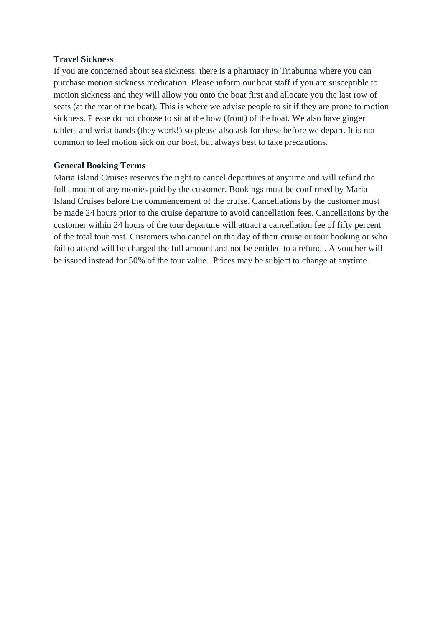#### **Travel Sickness**

If you are concerned about sea sickness, there is a pharmacy in Triabunna where you can purchase motion sickness medication. Please inform our boat staff if you are susceptible to motion sickness and they will allow you onto the boat first and allocate you the last row of seats (at the rear of the boat). This is where we advise people to sit if they are prone to motion sickness. Please do not choose to sit at the bow (front) of the boat. We also have ginger tablets and wrist bands (they work!) so please also ask for these before we depart. It is not common to feel motion sick on our boat, but always best to take precautions.

#### **General Booking Terms**

Maria Island Cruises reserves the right to cancel departures at anytime and will refund the full amount of any monies paid by the customer. Bookings must be confirmed by Maria Island Cruises before the commencement of the cruise. Cancellations by the customer must be made 24 hours prior to the cruise departure to avoid cancellation fees. Cancellations by the customer within 24 hours of the tour departure will attract a cancellation fee of fifty percent of the total tour cost. Customers who cancel on the day of their cruise or tour booking or who fail to attend will be charged the full amount and not be entitled to a refund . A voucher will be issued instead for 50% of the tour value. Prices may be subject to change at anytime.